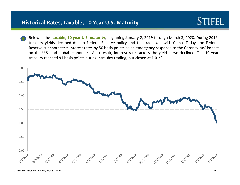**STIFEL**<br>Below is the taxable, 10 year U.S. maturity, beginning January 2, 2019 through March 3, 2020. During 2019,<br>Below is the taxable, 10 year U.S. maturity, beginning January 2, 2019 through March 3, 2020. During 2019, torical Rates, Taxable, 10 Year U.S. Maturity<br>Below is the taxable, 10 year U.S. maturity, beginning January 2, 2019 through March 3, 2020. During 2019,<br>treasury yields declined due to Federal Reserve policy and the trade **Exercical Rates, Taxable, 10 Year U.S. Maturity**<br>Below is the taxable, 10 year U.S. maturity, beginning January 2, 2019 through March 3, 2020. During 2019,<br>Treasury yields declined due to Federal Reserve policy and the tr **CONDER SERVIDE SERVIDE SERVIDES AND SERVIDES AND SERVIDES US A REGISTANCES**<br>
Below is the taxable, 10 year U.S. maturity, beginning January 2, 2019 through March 3, 2020. During 2019,<br>
Reserve cut short-term interest rate torical Rates, Taxable, 10 Year U.S. Maturity<br>Below is the taxable, 10 year U.S. maturity, beginning January 2, 2019 through March 3, 2020. During 2019,<br>Reserve cut short-term interest rates by 50 basis points as an emerge